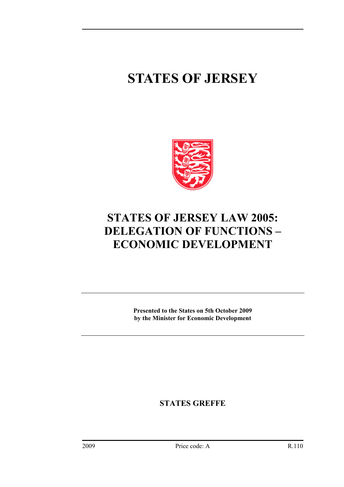# **STATES OF JERSEY**



## **STATES OF JERSEY LAW 2005: DELEGATION OF FUNCTIONS – ECONOMIC DEVELOPMENT**

**Presented to the States on 5th October 2009 by the Minister for Economic Development** 

**STATES GREFFE**